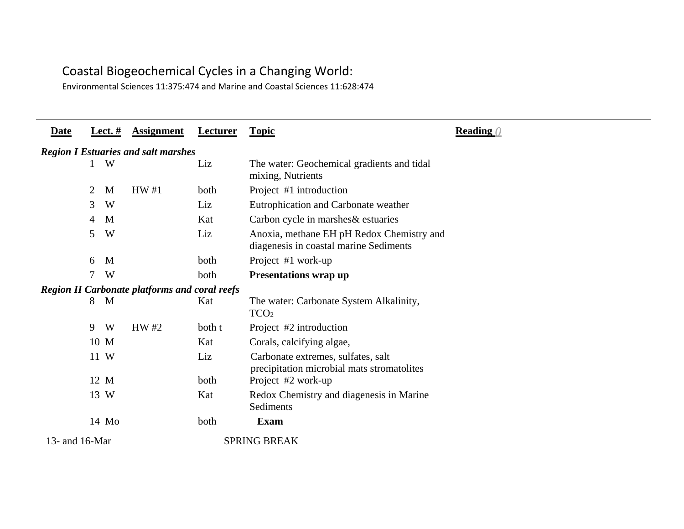## Coastal Biogeochemical Cycles in a Changing World:

Environmental Sciences 11:375:474 and Marine and Coastal Sciences 11:628:474

| Date           |   | Lect. $#$ | <b>Assignment</b>                                    | Lecturer | <b>Topic</b>                                                                        | <b>Reading</b> () |
|----------------|---|-----------|------------------------------------------------------|----------|-------------------------------------------------------------------------------------|-------------------|
|                |   |           | <b>Region I Estuaries and salt marshes</b>           |          |                                                                                     |                   |
|                |   | W         |                                                      | Liz      | The water: Geochemical gradients and tidal<br>mixing, Nutrients                     |                   |
|                | 2 | M         | HW#1                                                 | both     | Project #1 introduction                                                             |                   |
|                | 3 | W         |                                                      | Liz      | Eutrophication and Carbonate weather                                                |                   |
|                | 4 | M         |                                                      | Kat      | Carbon cycle in marshes & estuaries                                                 |                   |
|                | 5 | W         |                                                      | Liz      | Anoxia, methane EH pH Redox Chemistry and<br>diagenesis in coastal marine Sediments |                   |
|                | 6 | M         |                                                      | both     | Project #1 work-up                                                                  |                   |
|                |   | W         |                                                      | both     | <b>Presentations wrap up</b>                                                        |                   |
|                |   |           | <b>Region II Carbonate platforms and coral reefs</b> |          |                                                                                     |                   |
|                | 8 | M         |                                                      | Kat      | The water: Carbonate System Alkalinity,<br>TCO <sub>2</sub>                         |                   |
|                | 9 | W         | HW#2                                                 | both t   | Project #2 introduction                                                             |                   |
|                |   | 10 M      |                                                      | Kat      | Corals, calcifying algae,                                                           |                   |
|                |   | 11 W      |                                                      | Liz      | Carbonate extremes, sulfates, salt<br>precipitation microbial mats stromatolites    |                   |
|                |   | 12 M      |                                                      | both     | Project #2 work-up                                                                  |                   |
|                |   | 13 W      |                                                      | Kat      | Redox Chemistry and diagenesis in Marine<br>Sediments                               |                   |
|                |   | 14 Mo     |                                                      | both     | <b>Exam</b>                                                                         |                   |
| 13- and 16-Mar |   |           |                                                      |          | <b>SPRING BREAK</b>                                                                 |                   |